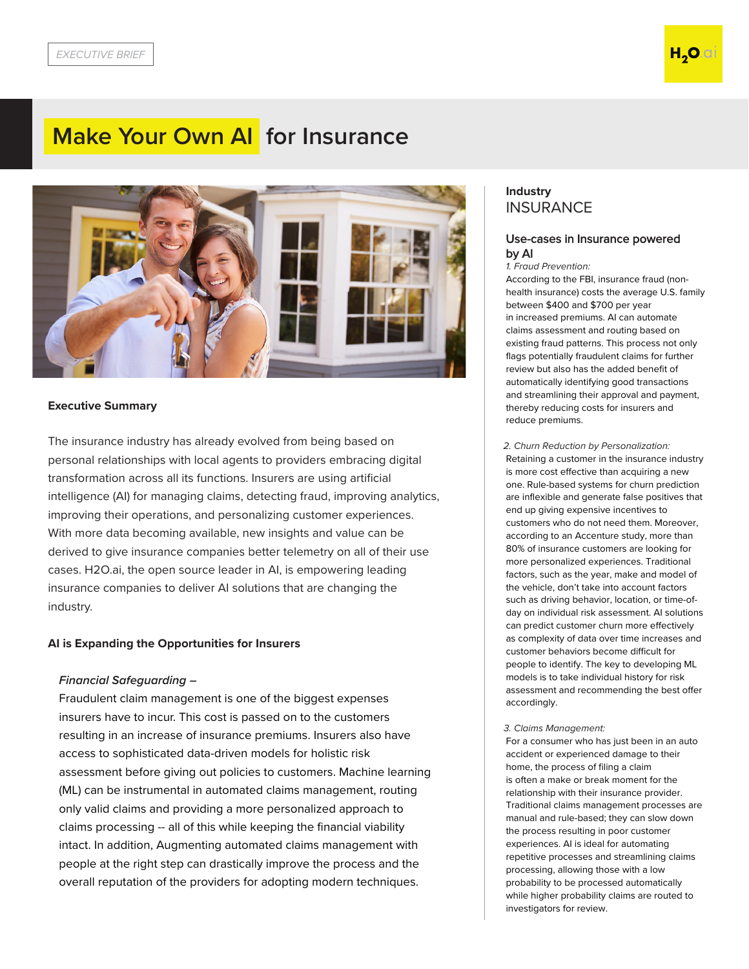# **Make Your Own AI for Insurance**



### **Executive Summary**

The insurance industry has already evolved from being based on personal relationships with local agents to providers embracing digital transformation across all its functions. Insurers are using artificial intelligence (AI) for managing claims, detecting fraud, improving analytics, improving their operations, and personalizing customer experiences. With more data becoming available, new insights and value can be derived to give insurance companies better telemetry on all of their use cases. H2O.ai, the open source leader in AI, is empowering leading insurance companies to deliver AI solutions that are changing the industry.

### **AI is Expanding the Opportunities for Insurers**

#### *Financial Safeguarding –*

Fraudulent claim management is one of the biggest expenses insurers have to incur. This cost is passed on to the customers resulting in an increase of insurance premiums. Insurers also have access to sophisticated data-driven models for holistic risk assessment before giving out policies to customers. Machine learning (ML) can be instrumental in automated claims management, routing only valid claims and providing a more personalized approach to claims processing -- all of this while keeping the financial viability intact. In addition, Augmenting automated claims management with people at the right step can drastically improve the process and the overall reputation of the providers for adopting modern techniques.

# **Industry INSURANCE**

## Use-cases in Insurance powered by AI

1. *Fraud Prevention:*

According to the FBI, insurance fraud (nonhealth insurance) costs the average U.S. family between \$400 and \$700 per year in increased premiums. AI can automate claims assessment and routing based on existing fraud patterns. This process not only flags potentially fraudulent claims for further review but also has the added benefit of automatically identifying good transactions and streamlining their approval and payment, thereby reducing costs for insurers and reduce premiums.

2. *Churn Reduction by Personalization:* Retaining a customer in the insurance industry is more cost effective than acquiring a new one. Rule-based systems for churn prediction are inflexible and generate false positives that end up giving expensive incentives to customers who do not need them. Moreover, according to an Accenture study, more than 80% of insurance customers are looking for more personalized experiences. Traditional factors, such as the year, make and model of the vehicle, don't take into account factors such as driving behavior, location, or time-ofday on individual risk assessment. AI solutions can predict customer churn more effectively as complexity of data over time increases and customer behaviors become difficult for people to identify. The key to developing ML models is to take individual history for risk assessment and recommending the best offer accordingly.

#### 3. *Claims Management:*

For a consumer who has just been in an auto accident or experienced damage to their home, the process of filing a claim is often a make or break moment for the relationship with their insurance provider. Traditional claims management processes are manual and rule-based; they can slow down the process resulting in poor customer experiences. AI is ideal for automating repetitive processes and streamlining claims processing, allowing those with a low probability to be processed automatically while higher probability claims are routed to investigators for review.